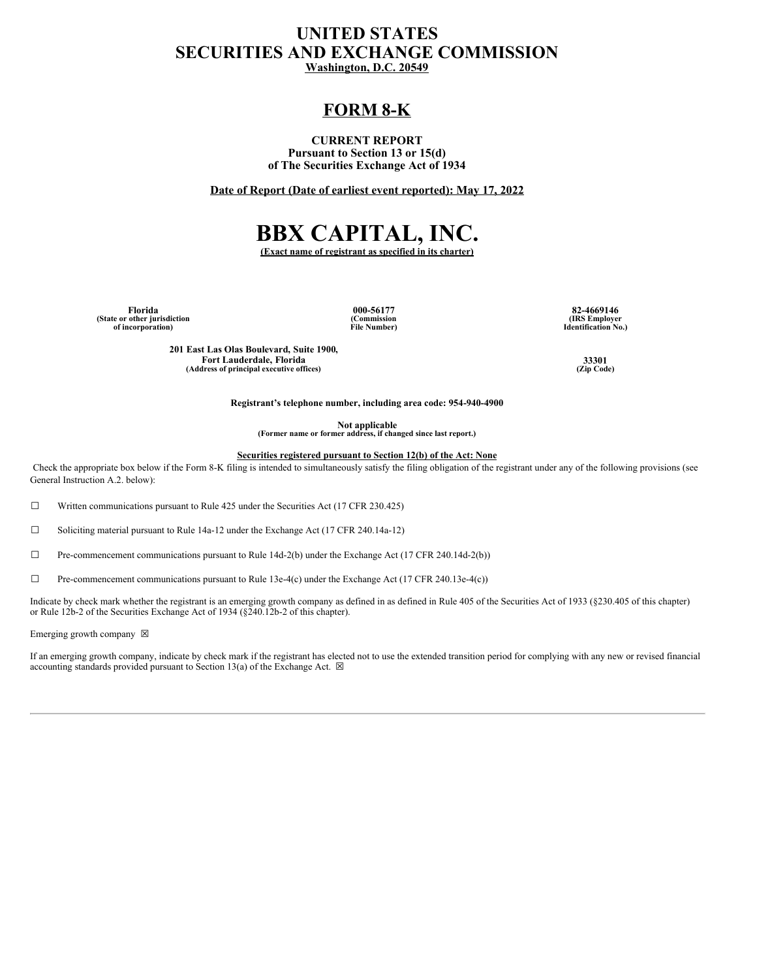## **UNITED STATES SECURITIES AND EXCHANGE COMMISSION Washington, D.C. 20549**

# **FORM 8-K**

#### **CURRENT REPORT Pursuant to Section 13 or 15(d) of The Securities Exchange Act of 1934**

**Date of Report (Date of earliest event reported): May 17, 2022**

# **BBX CAPITAL, INC.**

**(Exact name of registrant as specified in its charter)**

**(State or other jurisdiction of incorporation)**

**(Commission File Number)**

**Florida 000-56177 82-4669146 (IRS Employer Identification No.)**

**201 East Las Olas Boulevard, Suite 1900, Fort Lauderdale, Florida 33301**<br> **dress of principal executive offices** (Zip Code) **(Zip Code) (Address of principal executive offices) (Zip Code)**

**Registrant's telephone number, including area code: 954-940-4900**

**Not applicable (Former name or former address, if changed since last report.)**

**Securities registered pursuant to Section 12(b) of the Act: None**

Check the appropriate box below if the Form 8-K filing is intended to simultaneously satisfy the filing obligation of the registrant under any of the following provisions (see General Instruction A.2. below):

 $\Box$  Written communications pursuant to Rule 425 under the Securities Act (17 CFR 230.425)

☐ Soliciting material pursuant to Rule 14a-12 under the Exchange Act (17 CFR 240.14a-12)

 $\Box$  Pre-commencement communications pursuant to Rule 14d-2(b) under the Exchange Act (17 CFR 240.14d-2(b))

☐ Pre-commencement communications pursuant to Rule 13e-4(c) under the Exchange Act (17 CFR 240.13e-4(c))

Indicate by check mark whether the registrant is an emerging growth company as defined in as defined in Rule 405 of the Securities Act of 1933 (§230.405 of this chapter) or Rule 12b-2 of the Securities Exchange Act of 1934 (§240.12b-2 of this chapter).

Emerging growth company  $~\boxtimes~$ 

If an emerging growth company, indicate by check mark if the registrant has elected not to use the extended transition period for complying with any new or revised financial accounting standards provided pursuant to Section 13(a) of the Exchange Act.  $\boxtimes$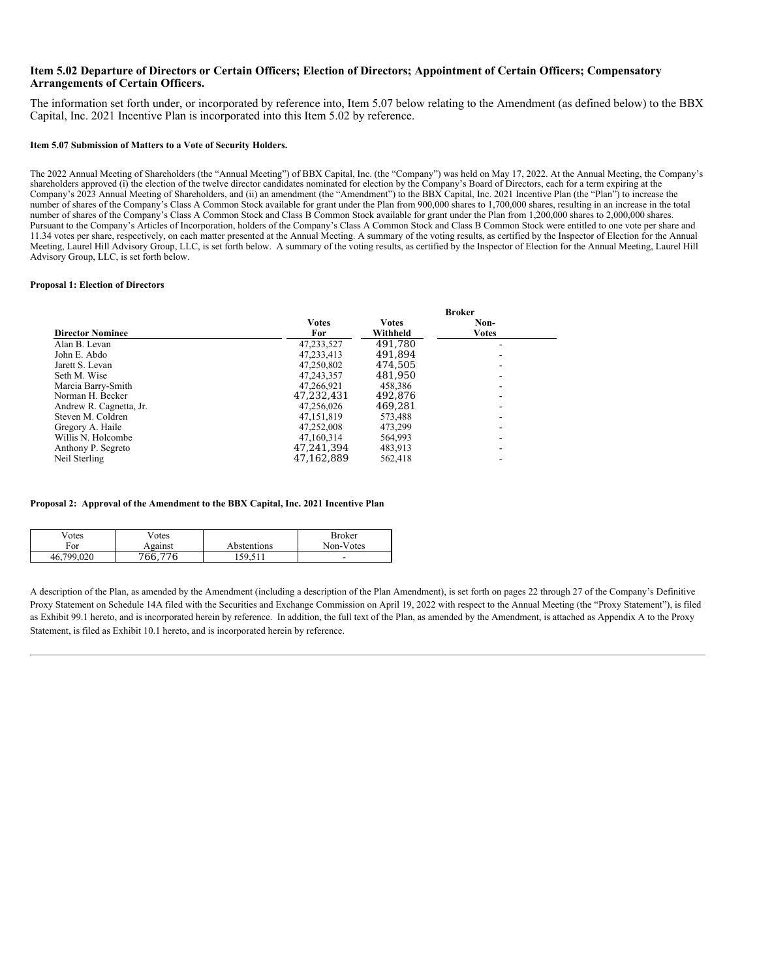#### Item 5.02 Departure of Directors or Certain Officers; Election of Directors; Appointment of Certain Officers; Compensatory **Arrangements of Certain Officers.**

The information set forth under, or incorporated by reference into, Item 5.07 below relating to the Amendment (as defined below) to the BBX Capital, Inc. 2021 Incentive Plan is incorporated into this Item 5.02 by reference.

#### **Item 5.07 Submission of Matters to a Vote of Security Holders.**

The 2022 Annual Meeting of Shareholders (the "Annual Meeting") of BBX Capital, Inc. (the "Company") was held on May 17, 2022. At the Annual Meeting, the Company's shareholders approved (i) the election of the twelve director candidates nominated for election by the Company's Board of Directors, each for a term expiring at the Company's 2023 Annual Meeting of Shareholders, and (ii) an amendment (the "Amendment") to the BBX Capital, Inc. 2021 Incentive Plan (the "Plan") to increase the number of shares of the Company's Class A Common Stock available for grant under the Plan from 900,000 shares to 1,700,000 shares, resulting in an increase in the total number of shares of the Company's Class A Common Stock and Class B Common Stock available for grant under the Plan from 1,200,000 shares to 2,000,000 shares. Pursuant to the Company's Articles of Incorporation, holders of the Company's Class A Common Stock and Class B Common Stock were entitled to one vote per share and 11.34 votes per share, respectively, on each matter presented at the Annual Meeting. A summary of the voting results, as certified by the Inspector of Election for the Annual Meeting, Laurel Hill Advisory Group, LLC, is set forth below. A summary of the voting results, as certified by the Inspector of Election for the Annual Meeting, Laurel Hill Advisory Group, LLC, is set forth below.

#### **Proposal 1: Election of Directors**

|                         | <b>Broker</b> |              |              |  |  |
|-------------------------|---------------|--------------|--------------|--|--|
|                         | <b>Votes</b>  | <b>Votes</b> | Non-         |  |  |
| <b>Director Nominee</b> | For           | Withheld     | <b>Votes</b> |  |  |
| Alan B. Levan           | 47.233.527    | 491.780      |              |  |  |
| John E. Abdo            | 47.233.413    | 491.894      |              |  |  |
| Jarett S. Levan         | 47,250,802    | 474,505      |              |  |  |
| Seth M. Wise            | 47.243.357    | 481.950      |              |  |  |
| Marcia Barry-Smith      | 47.266.921    | 458,386      |              |  |  |
| Norman H. Becker        | 47,232,431    | 492.876      |              |  |  |
| Andrew R. Cagnetta, Jr. | 47.256.026    | 469,281      |              |  |  |
| Steven M. Coldren       | 47,151,819    | 573,488      |              |  |  |
| Gregory A. Haile        | 47.252.008    | 473.299      |              |  |  |
| Willis N. Holcombe      | 47,160,314    | 564,993      |              |  |  |
| Anthony P. Segreto      | 47,241,394    | 483.913      |              |  |  |
| Neil Sterling           | 47,162,889    | 562,418      |              |  |  |

#### **Proposal 2: Approval of the Amendment to the BBX Capital, Inc. 2021 Incentive Plan**

| $\mathrm{V}$ <sub>otes</sub> | <sup>7</sup> otes |             | Broker    |
|------------------------------|-------------------|-------------|-----------|
| For                          | Against           | Abstentions | Non-Votes |
| .799.020<br>46.              | 766.776           | 50.511      | -         |

A description of the Plan, as amended by the Amendment (including a description of the Plan Amendment), is set forth on pages 22 through 27 of the Company's Definitive Proxy Statement on Schedule 14A filed with the Securities and Exchange Commission on April 19, 2022 with respect to the Annual Meeting (the "Proxy Statement"), is filed as Exhibit 99.1 hereto, and is incorporated herein by reference. In addition, the full text of the Plan, as amended by the Amendment, is attached as Appendix A to the Proxy Statement, is filed as Exhibit 10.1 hereto, and is incorporated herein by reference.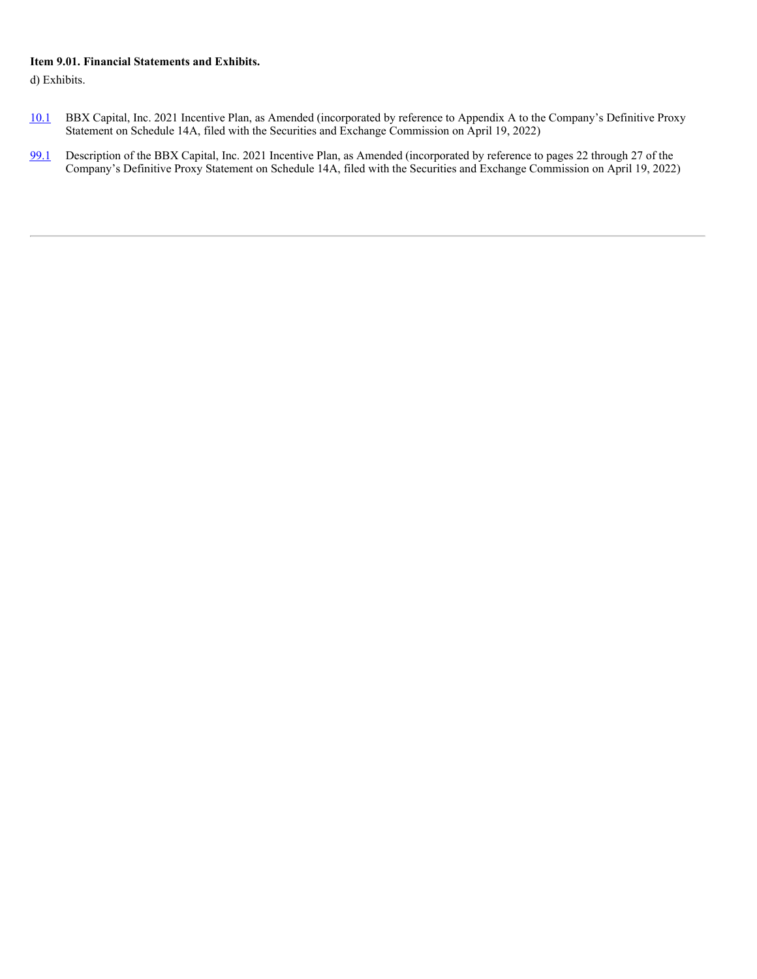## **Item 9.01. Financial Statements and Exhibits.**

d) Exhibits.

- [10.1](http://www.sec.gov/Archives/edgar/data/1814974/000138713122004932/bbx-def14a_041822.htm) BBX Capital, Inc. 2021 Incentive Plan, as Amended (incorporated by reference to Appendix A to the Company's Definitive Proxy Statement on Schedule 14A, filed with the Securities and Exchange Commission on April 19, 2022)
- [99.1](http://www.sec.gov/Archives/edgar/data/1814974/000138713122004932/bbx-def14a_041822.htm) Description of the BBX Capital, Inc. 2021 Incentive Plan, as Amended (incorporated by reference to pages 22 through 27 of the Company's Definitive Proxy Statement on Schedule 14A, filed with the Securities and Exchange Commission on April 19, 2022)